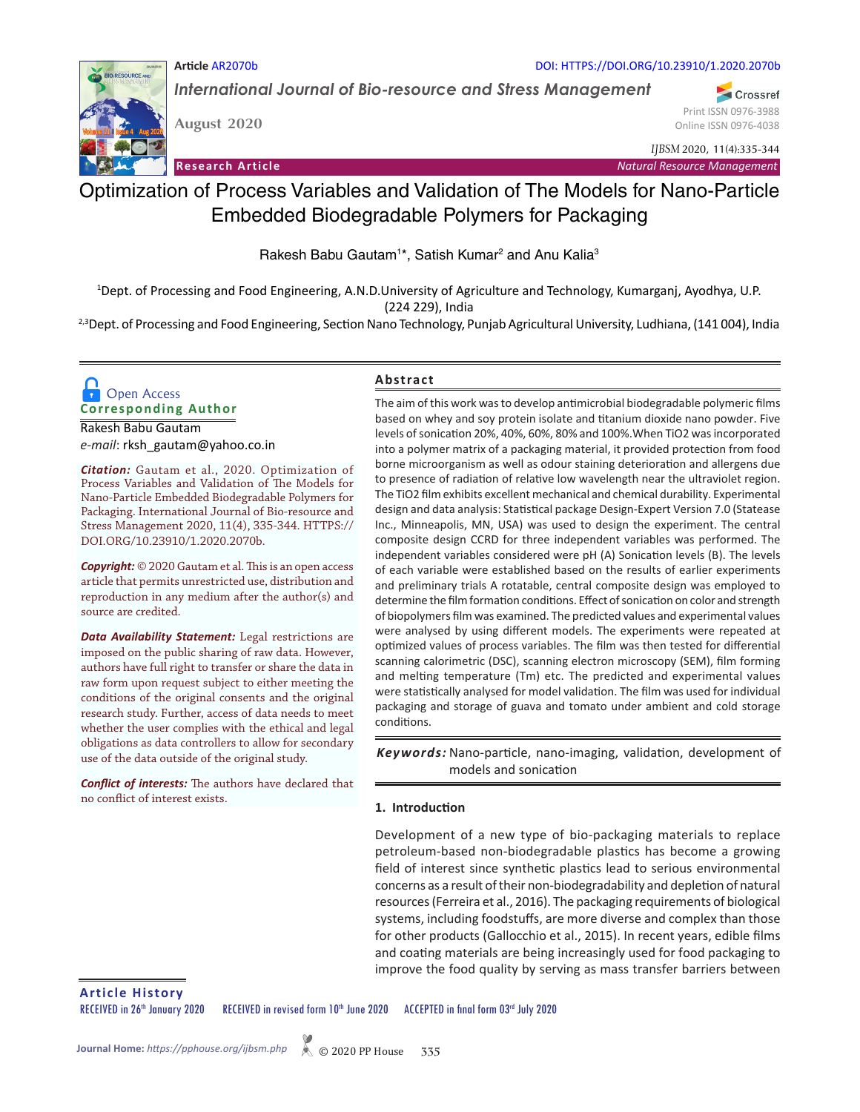

*International Journal of Bio-resource and Stress Management*

**August 2020**

**Article** AR2070b

Print ISSN 0976-3988 Online ISSN 0976-4038

DOI: HTTPS://DOI.ORG/10.23910/1.2020.2070b

*IJBSM* 2020, 11(4):335-344

Crossref

**Research Article**

*Natural Resource Management*

# Optimization of Process Variables and Validation of The Models for Nano-Particle Embedded Biodegradable Polymers for Packaging

Rakesh Babu Gautam<sup>1\*</sup>, Satish Kumar<sup>2</sup> and Anu Kalia<sup>3</sup>

1 Dept. of Processing and Food Engineering, A.N.D.University of Agriculture and Technology, Kumarganj, Ayodhya, U.P. (224 229), India

<sup>2,3</sup>Dept. of Processing and Food Engineering, Section Nano Technology, Punjab Agricultural University, Ludhiana, (141 004), India

# **Corresponding Author**  Open Access

Rakesh Babu Gautam *e-mail*: rksh\_gautam@yahoo.co.in

*Citation:* Gautam et al., 2020. Optimization of Process Variables and Validation of The Models for Nano-Particle Embedded Biodegradable Polymers for Packaging. International Journal of Bio-resource and Stress Management 2020, 11(4), 335-344. HTTPS:// DOI.ORG/10.23910/1.2020.2070b.

*Copyright:* © 2020 Gautam et al. This is an open access article that permits unrestricted use, distribution and reproduction in any medium after the author(s) and source are credited.

*Data Availability Statement:* Legal restrictions are imposed on the public sharing of raw data. However, authors have full right to transfer or share the data in raw form upon request subject to either meeting the conditions of the original consents and the original research study. Further, access of data needs to meet whether the user complies with the ethical and legal obligations as data controllers to allow for secondary use of the data outside of the original study.

*Conflict of interests:* The authors have declared that no conflict of interest exists.

## **Abstract**

The aim of this work was to develop antimicrobial biodegradable polymeric films based on whey and soy protein isolate and titanium dioxide nano powder. Five levels of sonication 20%, 40%, 60%, 80% and 100%.When TiO2 was incorporated into a polymer matrix of a packaging material, it provided protection from food borne microorganism as well as odour staining deterioration and allergens due to presence of radiation of relative low wavelength near the ultraviolet region. The TiO2 film exhibits excellent mechanical and chemical durability. Experimental design and data analysis: Statistical package Design-Expert Version 7.0 (Statease Inc., Minneapolis, MN, USA) was used to design the experiment. The central composite design CCRD for three independent variables was performed. The independent variables considered were pH (A) Sonication levels (B). The levels of each variable were established based on the results of earlier experiments and preliminary trials A rotatable, central composite design was employed to determine the film formation conditions. Effect of sonication on color and strength of biopolymers film was examined. The predicted values and experimental values were analysed by using different models. The experiments were repeated at optimized values of process variables. The film was then tested for differential scanning calorimetric (DSC), scanning electron microscopy (SEM), film forming and melting temperature (Tm) etc. The predicted and experimental values were statistically analysed for model validation. The film was used for individual packaging and storage of guava and tomato under ambient and cold storage conditions.

Keywords: Nano-particle, nano-imaging, validation, development of models and sonication

#### **1. Introduction**

Development of a new type of bio-packaging materials to replace petroleum-based non-biodegradable plastics has become a growing field of interest since synthetic plastics lead to serious environmental concerns as a result of their non-biodegradability and depletion of natural resources (Ferreira et al., 2016). The packaging requirements of biological systems, including foodstuffs, are more diverse and complex than those for other products (Gallocchio et al., 2015). In recent years, edible films and coating materials are being increasingly used for food packaging to improve the food quality by serving as mass transfer barriers between

**Article History**

RECEIVED in 26<sup>th</sup> January 2020 RECEIVED in revised form 10<sup>th</sup> June 2020 ACCEPTED in final form 03<sup>rd</sup> July 2020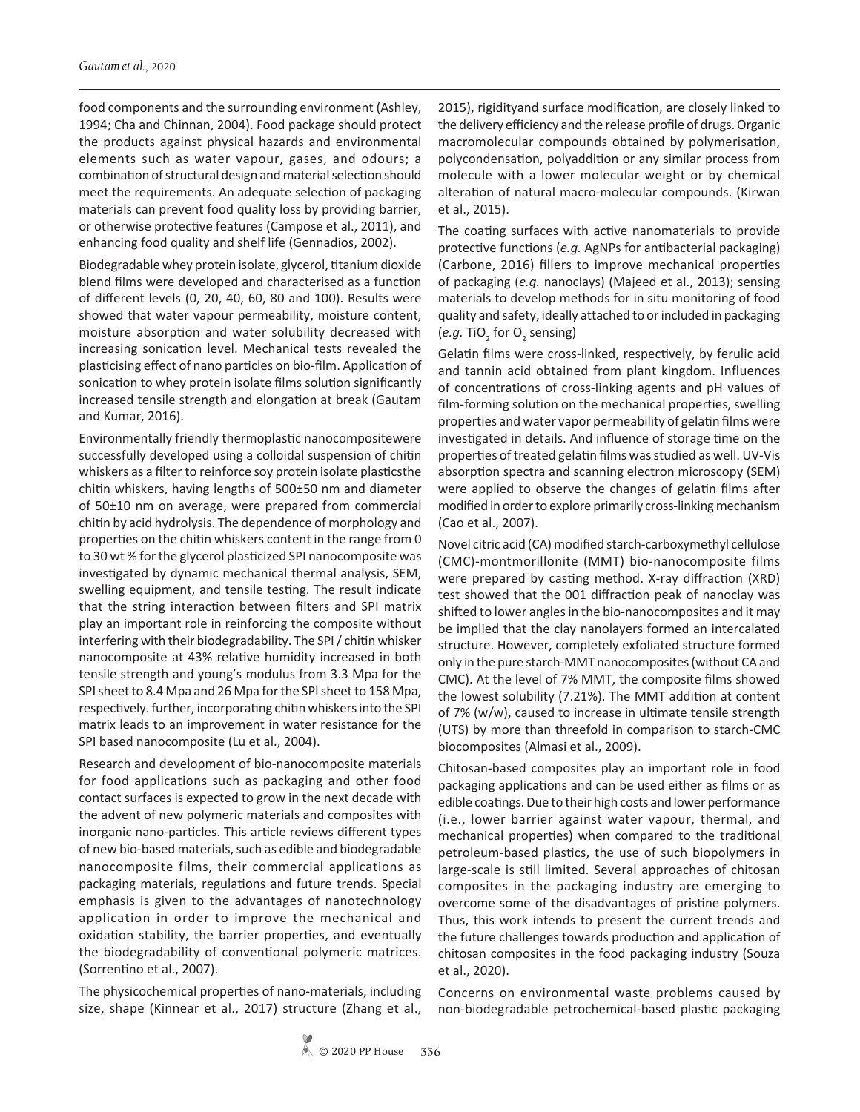food components and the surrounding environment (Ashley, 1994; Cha and Chinnan, 2004). Food package should protect the products against physical hazards and environmental elements such as water vapour, gases, and odours; a combination of structural design and material selection should meet the requirements. An adequate selection of packaging materials can prevent food quality loss by providing barrier, or otherwise protective features (Campose et al., 2011), and enhancing food quality and shelf life (Gennadios, 2002).

Biodegradable whey protein isolate, glycerol, titanium dioxide blend films were developed and characterised as a function of different levels (0, 20, 40, 60, 80 and 100). Results were showed that water vapour permeability, moisture content, moisture absorption and water solubility decreased with increasing sonication level. Mechanical tests revealed the plasticising effect of nano particles on bio-film. Application of sonication to whey protein isolate films solution significantly increased tensile strength and elongation at break (Gautam and Kumar, 2016).

Environmentally friendly thermoplastic nanocompositewere successfully developed using a colloidal suspension of chitin whiskers as a filter to reinforce soy protein isolate plasticsthe chitin whiskers, having lengths of 500±50 nm and diameter of 50±10 nm on average, were prepared from commercial chitin by acid hydrolysis. The dependence of morphology and properties on the chitin whiskers content in the range from 0 to 30 wt % for the glycerol plasticized SPI nanocomposite was investigated by dynamic mechanical thermal analysis, SEM, swelling equipment, and tensile testing. The result indicate that the string interaction between filters and SPI matrix play an important role in reinforcing the composite without interfering with their biodegradability. The SPI / chitin whisker nanocomposite at 43% relative humidity increased in both tensile strength and young's modulus from 3.3 Mpa for the SPI sheet to 8.4 Mpa and 26 Mpa for the SPI sheet to 158 Mpa, respectively. further, incorporating chitin whiskers into the SPI matrix leads to an improvement in water resistance for the SPI based nanocomposite (Lu et al., 2004).

Research and development of bio-nanocomposite materials for food applications such as packaging and other food contact surfaces is expected to grow in the next decade with the advent of new polymeric materials and composites with inorganic nano-particles. This article reviews different types of new bio-based materials, such as edible and biodegradable nanocomposite films, their commercial applications as packaging materials, regulations and future trends. Special emphasis is given to the advantages of nanotechnology application in order to improve the mechanical and oxidation stability, the barrier properties, and eventually the biodegradability of conventional polymeric matrices. (Sorrentino et al., 2007).

The physicochemical properties of nano-materials, including size, shape (Kinnear et al., 2017) structure (Zhang et al.,

2015), rigidityand surface modification, are closely linked to the delivery efficiency and the release profile of drugs. Organic macromolecular compounds obtained by polymerisation, polycondensation, polyaddition or any similar process from molecule with a lower molecular weight or by chemical alteration of natural macro-molecular compounds. (Kirwan et al., 2015).

The coating surfaces with active nanomaterials to provide protective functions (*e.g.* AgNPs for antibacterial packaging) (Carbone, 2016) fillers to improve mechanical properties of packaging (*e.g.* nanoclays) (Majeed et al., 2013); sensing materials to develop methods for in situ monitoring of food quality and safety, ideally attached to or included in packaging (*e.g.* TiO<sub>2</sub> for O<sub>2</sub> sensing)

Gelatin films were cross-linked, respectively, by ferulic acid and tannin acid obtained from plant kingdom. Influences of concentrations of cross-linking agents and pH values of film-forming solution on the mechanical properties, swelling properties and water vapor permeability of gelatin films were investigated in details. And influence of storage time on the properties of treated gelatin films was studied as well. UV-Vis absorption spectra and scanning electron microscopy (SEM) were applied to observe the changes of gelatin films after modified in order to explore primarily cross-linking mechanism (Cao et al., 2007).

Novel citric acid (CA) modified starch-carboxymethyl cellulose (CMC)-montmorillonite (MMT) bio-nanocomposite films were prepared by casting method. X-ray diffraction (XRD) test showed that the 001 diffraction peak of nanoclay was shifted to lower angles in the bio-nanocomposites and it may be implied that the clay nanolayers formed an intercalated structure. However, completely exfoliated structure formed only in the pure starch-MMT nanocomposites (without CA and CMC). At the level of 7% MMT, the composite films showed the lowest solubility (7.21%). The MMT addition at content of 7% (w/w), caused to increase in ultimate tensile strength (UTS) by more than threefold in comparison to starch-CMC biocomposites (Almasi et al., 2009).

Chitosan-based composites play an important role in food packaging applications and can be used either as films or as edible coatings. Due to their high costs and lower performance (i.e., lower barrier against water vapour, thermal, and mechanical properties) when compared to the traditional petroleum-based plastics, the use of such biopolymers in large-scale is still limited. Several approaches of chitosan composites in the packaging industry are emerging to overcome some of the disadvantages of pristine polymers. Thus, this work intends to present the current trends and the future challenges towards production and application of chitosan composites in the food packaging industry (Souza et al., 2020).

Concerns on environmental waste problems caused by non-biodegradable petrochemical-based plastic packaging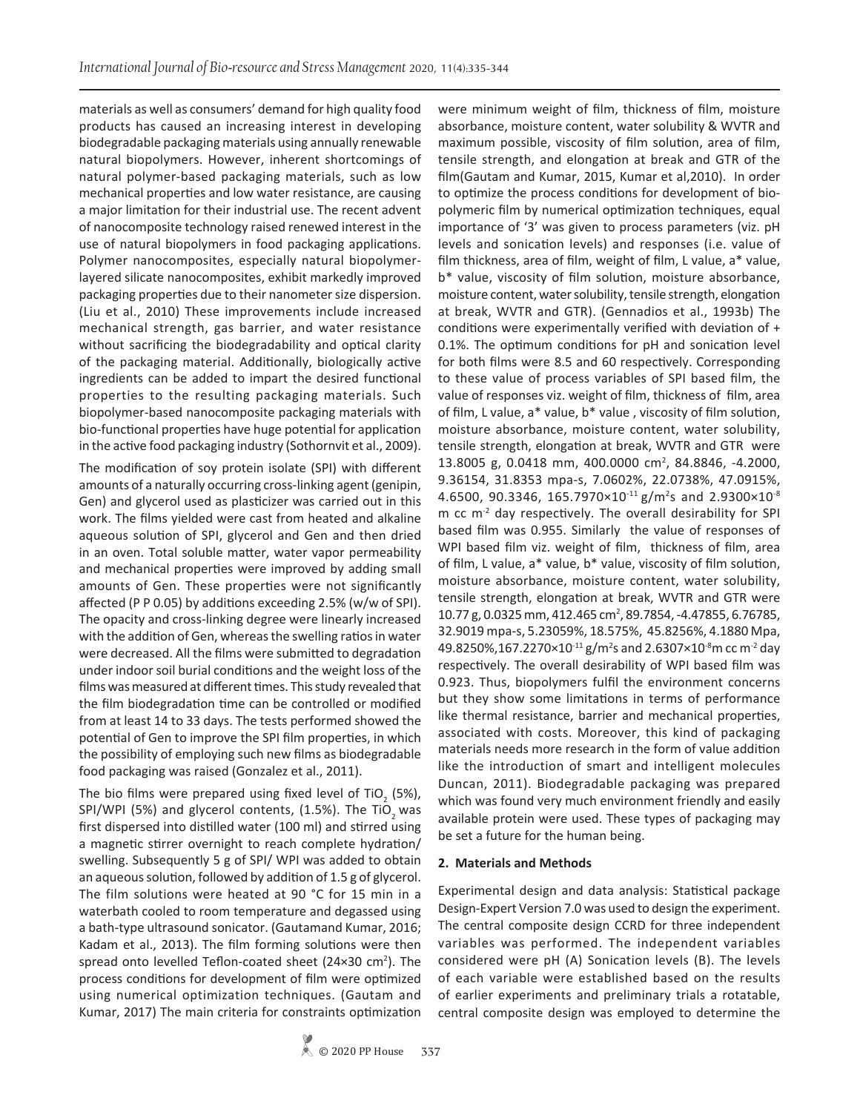materials as well as consumers' demand for high quality food products has caused an increasing interest in developing biodegradable packaging materials using annually renewable natural biopolymers. However, inherent shortcomings of natural polymer-based packaging materials, such as low mechanical properties and low water resistance, are causing a major limitation for their industrial use. The recent advent of nanocomposite technology raised renewed interest in the use of natural biopolymers in food packaging applications. Polymer nanocomposites, especially natural biopolymerlayered silicate nanocomposites, exhibit markedly improved packaging properties due to their nanometer size dispersion. (Liu et al., 2010) These improvements include increased mechanical strength, gas barrier, and water resistance without sacrificing the biodegradability and optical clarity of the packaging material. Additionally, biologically active ingredients can be added to impart the desired functional properties to the resulting packaging materials. Such biopolymer-based nanocomposite packaging materials with bio-functional properties have huge potential for application in the active food packaging industry (Sothornvit et al., 2009).

The modification of soy protein isolate (SPI) with different amounts of a naturally occurring cross-linking agent (genipin, Gen) and glycerol used as plasticizer was carried out in this work. The films yielded were cast from heated and alkaline aqueous solution of SPI, glycerol and Gen and then dried in an oven. Total soluble matter, water vapor permeability and mechanical properties were improved by adding small amounts of Gen. These properties were not significantly affected (P P 0.05) by additions exceeding 2.5% (w/w of SPI). The opacity and cross-linking degree were linearly increased with the addition of Gen, whereas the swelling ratios in water were decreased. All the films were submitted to degradation under indoor soil burial conditions and the weight loss of the films was measured at different times. This study revealed that the film biodegradation time can be controlled or modified from at least 14 to 33 days. The tests performed showed the potential of Gen to improve the SPI film properties, in which the possibility of employing such new films as biodegradable food packaging was raised (Gonzalez et al., 2011).

The bio films were prepared using fixed level of TiO<sub>2</sub> (5%), SPI/WPI (5%) and glycerol contents, (1.5%). The TiO<sub>2</sub> was first dispersed into distilled water (100 ml) and stirred using a magnetic stirrer overnight to reach complete hydration/ swelling. Subsequently 5 g of SPI/ WPI was added to obtain an aqueous solution, followed by addition of 1.5 g of glycerol. The film solutions were heated at 90 °C for 15 min in a waterbath cooled to room temperature and degassed using a bath-type ultrasound sonicator. (Gautamand Kumar, 2016; Kadam et al., 2013). The film forming solutions were then spread onto levelled Teflon-coated sheet (24×30 cm<sup>2</sup>). The process conditions for development of film were optimized using numerical optimization techniques. (Gautam and Kumar, 2017) The main criteria for constraints optimization

were minimum weight of film, thickness of film, moisture absorbance, moisture content, water solubility & WVTR and maximum possible, viscosity of film solution, area of film, tensile strength, and elongation at break and GTR of the film(Gautam and Kumar, 2015, Kumar et al,2010). In order to optimize the process conditions for development of biopolymeric film by numerical optimization techniques, equal importance of '3' was given to process parameters (viz. pH levels and sonication levels) and responses (i.e. value of film thickness, area of film, weight of film, L value, a\* value, b\* value, viscosity of film solution, moisture absorbance, moisture content, water solubility, tensile strength, elongation at break, WVTR and GTR). (Gennadios et al., 1993b) The conditions were experimentally verified with deviation of + 0.1%. The optimum conditions for pH and sonication level for both films were 8.5 and 60 respectively. Corresponding to these value of process variables of SPI based film, the value of responses viz. weight of film, thickness of film, area of film, L value, a\* value, b\* value , viscosity of film solution, moisture absorbance, moisture content, water solubility, tensile strength, elongation at break, WVTR and GTR were 13.8005 g, 0.0418 mm, 400.0000 cm<sup>2</sup>, 84.8846, -4.2000, 9.36154, 31.8353 mpa-s, 7.0602%, 22.0738%, 47.0915%, 4.6500, 90.3346, 165.7970×10<sup>-11</sup> g/m<sup>2</sup>s and 2.9300×10<sup>-8</sup> m cc m-2 day respectively. The overall desirability for SPI based film was 0.955. Similarly the value of responses of WPI based film viz. weight of film, thickness of film, area of film, L value, a\* value, b\* value, viscosity of film solution, moisture absorbance, moisture content, water solubility, tensile strength, elongation at break, WVTR and GTR were 10.77 g, 0.0325 mm, 412.465 cm<sup>2</sup>, 89.7854, -4.47855, 6.76785, 32.9019 mpa-s, 5.23059%, 18.575%, 45.8256%, 4.1880 Mpa, 49.8250%,167.2270×10<sup>-11</sup> g/m<sup>2</sup>s and 2.6307×10<sup>-8</sup>m cc m<sup>-2</sup> day respectively. The overall desirability of WPI based film was 0.923. Thus, biopolymers fulfil the environment concerns but they show some limitations in terms of performance like thermal resistance, barrier and mechanical properties, associated with costs. Moreover, this kind of packaging materials needs more research in the form of value addition like the introduction of smart and intelligent molecules Duncan, 2011). Biodegradable packaging was prepared which was found very much environment friendly and easily available protein were used. These types of packaging may be set a future for the human being.

#### **2. Materials and Methods**

Experimental design and data analysis: Statistical package Design-Expert Version 7.0 was used to design the experiment. The central composite design CCRD for three independent variables was performed. The independent variables considered were pH (A) Sonication levels (B). The levels of each variable were established based on the results of earlier experiments and preliminary trials a rotatable, central composite design was employed to determine the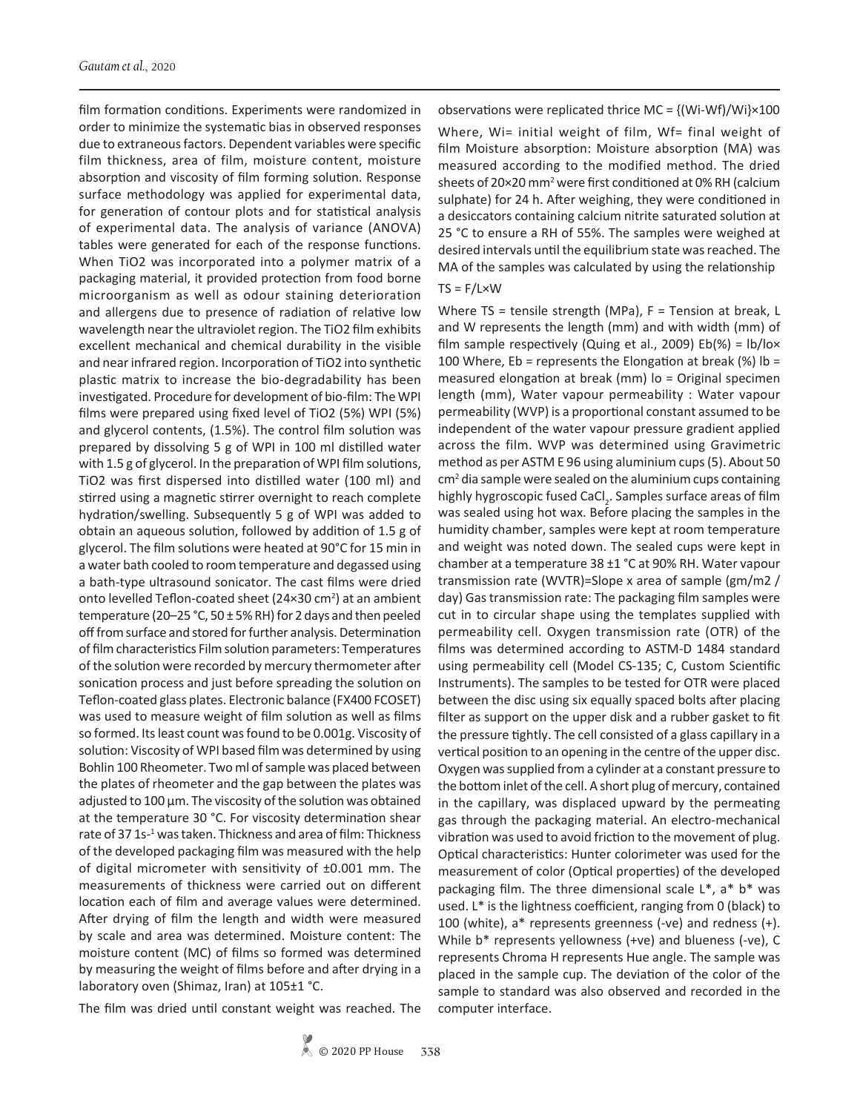film formation conditions. Experiments were randomized in order to minimize the systematic bias in observed responses due to extraneous factors. Dependent variables were specific film thickness, area of film, moisture content, moisture absorption and viscosity of film forming solution. Response surface methodology was applied for experimental data, for generation of contour plots and for statistical analysis of experimental data. The analysis of variance (ANOVA) tables were generated for each of the response functions. When TiO2 was incorporated into a polymer matrix of a packaging material, it provided protection from food borne microorganism as well as odour staining deterioration and allergens due to presence of radiation of relative low wavelength near the ultraviolet region. The TiO2 film exhibits excellent mechanical and chemical durability in the visible and near infrared region. Incorporation of TiO2 into synthetic plastic matrix to increase the bio-degradability has been investigated. Procedure for development of bio-film: The WPI films were prepared using fixed level of TiO2 (5%) WPI (5%) and glycerol contents, (1.5%). The control film solution was prepared by dissolving 5 g of WPI in 100 ml distilled water with 1.5 g of glycerol. In the preparation of WPI film solutions, TiO2 was first dispersed into distilled water (100 ml) and stirred using a magnetic stirrer overnight to reach complete hydration/swelling. Subsequently 5 g of WPI was added to obtain an aqueous solution, followed by addition of 1.5 g of glycerol. The film solutions were heated at 90°C for 15 min in a water bath cooled to room temperature and degassed using a bath-type ultrasound sonicator. The cast films were dried onto levelled Teflon-coated sheet (24×30 cm<sup>2</sup>) at an ambient temperature (20-25 °C, 50  $\pm$  5% RH) for 2 days and then peeled off from surface and stored for further analysis. Determination of film characteristics Film solution parameters: Temperatures of the solution were recorded by mercury thermometer after sonication process and just before spreading the solution on Teflon-coated glass plates. Electronic balance (FX400 FCOSET) was used to measure weight of film solution as well as films so formed. Its least count was found to be 0.001g. Viscosity of solution: Viscosity of WPI based film was determined by using Bohlin 100 Rheometer. Two ml of sample was placed between the plates of rheometer and the gap between the plates was adjusted to 100 µm. The viscosity of the solution was obtained at the temperature 30 °C. For viscosity determination shear rate of 37 1s-<sup>1</sup> was taken. Thickness and area of film: Thickness of the developed packaging film was measured with the help of digital micrometer with sensitivity of ±0.001 mm. The measurements of thickness were carried out on different location each of film and average values were determined. After drying of film the length and width were measured by scale and area was determined. Moisture content: The moisture content (MC) of films so formed was determined by measuring the weight of films before and after drying in a laboratory oven (Shimaz, Iran) at 105±1 °C.

The film was dried until constant weight was reached. The

observations were replicated thrice MC =  $\{(Wi-Wf)/Wi\} \times 100$ 

Where, Wi= initial weight of film, Wf= final weight of film Moisture absorption: Moisture absorption (MA) was measured according to the modified method. The dried sheets of 20×20 mm<sup>2</sup> were first conditioned at 0% RH (calcium sulphate) for 24 h. After weighing, they were conditioned in a desiccators containing calcium nitrite saturated solution at 25 °C to ensure a RH of 55%. The samples were weighed at desired intervals until the equilibrium state was reached. The MA of the samples was calculated by using the relationship

#### $TS = F/L \times W$

Where TS = tensile strength (MPa), F = Tension at break, L and W represents the length (mm) and with width (mm) of film sample respectively (Quing et al., 2009) Eb(%) =  $\frac{1}{2}$ b/lox 100 Where, Eb = represents the Elongation at break (%)  $\text{lb} =$ measured elongation at break (mm) lo = Original specimen length (mm), Water vapour permeability : Water vapour permeability (WVP) is a proportional constant assumed to be independent of the water vapour pressure gradient applied across the film. WVP was determined using Gravimetric method as per ASTM E 96 using aluminium cups (5). About 50 cm<sup>2</sup> dia sample were sealed on the aluminium cups containing highly hygroscopic fused CaCl<sub>2</sub>. Samples surface areas of film was sealed using hot wax. Before placing the samples in the humidity chamber, samples were kept at room temperature and weight was noted down. The sealed cups were kept in chamber at a temperature 38 ±1 °C at 90% RH. Water vapour transmission rate (WVTR)=Slope x area of sample (gm/m2 / day) Gas transmission rate: The packaging film samples were cut in to circular shape using the templates supplied with permeability cell. Oxygen transmission rate (OTR) of the films was determined according to ASTM-D 1484 standard using permeability cell (Model CS-135; C, Custom Scientific Instruments). The samples to be tested for OTR were placed between the disc using six equally spaced bolts after placing filter as support on the upper disk and a rubber gasket to fit the pressure tightly. The cell consisted of a glass capillary in a vertical position to an opening in the centre of the upper disc. Oxygen was supplied from a cylinder at a constant pressure to the bottom inlet of the cell. A short plug of mercury, contained in the capillary, was displaced upward by the permeating gas through the packaging material. An electro-mechanical vibration was used to avoid friction to the movement of plug. Optical characteristics: Hunter colorimeter was used for the measurement of color (Optical properties) of the developed packaging film. The three dimensional scale L\*, a\* b\* was used. L\* is the lightness coefficient, ranging from 0 (black) to 100 (white), a\* represents greenness (-ve) and redness (+). While b\* represents yellowness (+ve) and blueness (-ve), C represents Chroma H represents Hue angle. The sample was placed in the sample cup. The deviation of the color of the sample to standard was also observed and recorded in the computer interface.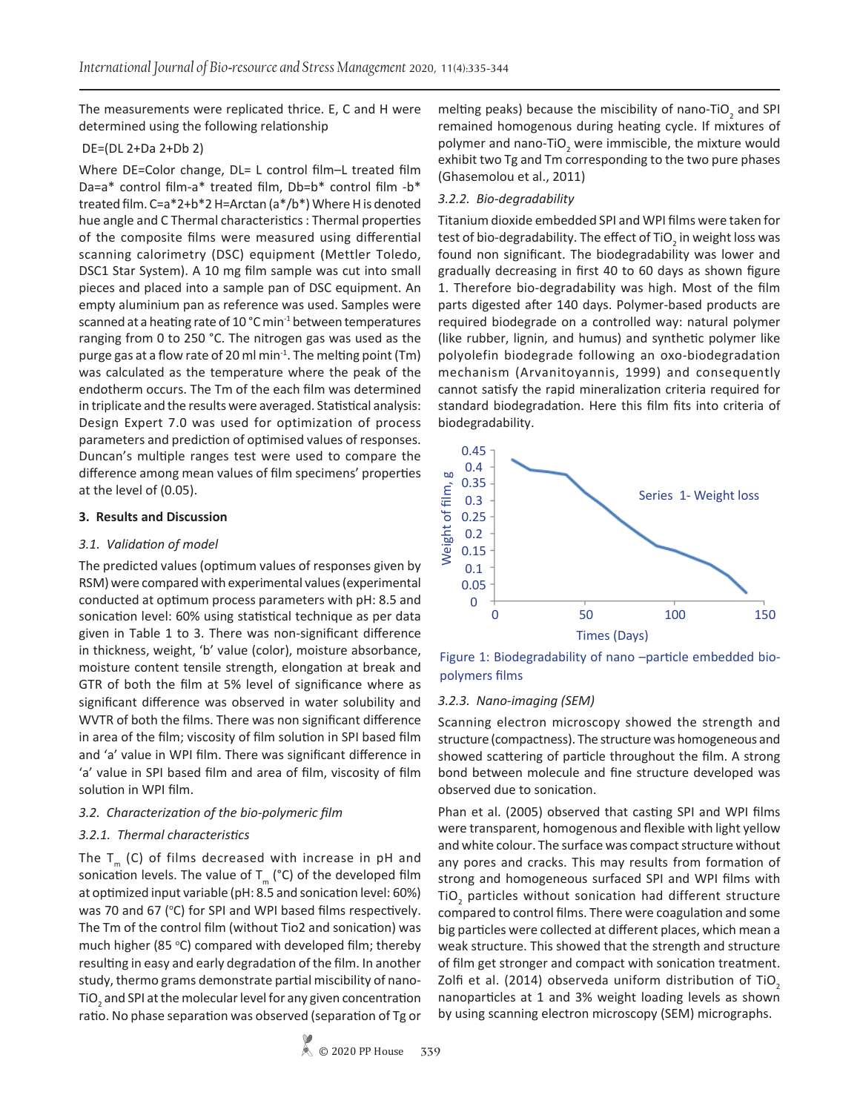The measurements were replicated thrice. E, C and H were determined using the following relationship

## DE=(DL 2+Da 2+Db 2)

Where DE=Color change, DL= L control film-L treated film Da=a\* control film-a\* treated film, Db=b\* control film -b\* treated film. C=a\*2+b\*2 H=Arctan (a\*/b\*) Where H is denoted hue angle and C Thermal characteristics : Thermal properties of the composite films were measured using differential scanning calorimetry (DSC) equipment (Mettler Toledo, DSC1 Star System). A 10 mg film sample was cut into small pieces and placed into a sample pan of DSC equipment. An empty aluminium pan as reference was used. Samples were scanned at a heating rate of 10 °C min-1 between temperatures ranging from 0 to 250 °C. The nitrogen gas was used as the purge gas at a flow rate of 20 ml min-1. The melting point (Tm) was calculated as the temperature where the peak of the endotherm occurs. The Tm of the each film was determined in triplicate and the results were averaged. Statistical analysis: Design Expert 7.0 was used for optimization of process parameters and prediction of optimised values of responses. Duncan's multiple ranges test were used to compare the difference among mean values of film specimens' properties at the level of (0.05).

## **3. Results and Discussion**

## *3.1. Validation of model*

The predicted values (optimum values of responses given by RSM) were compared with experimental values (experimental conducted at optimum process parameters with pH: 8.5 and sonication level: 60% using statistical technique as per data given in Table 1 to 3. There was non-significant difference in thickness, weight, 'b' value (color), moisture absorbance, moisture content tensile strength, elongation at break and GTR of both the film at 5% level of significance where as significant difference was observed in water solubility and WVTR of both the films. There was non significant difference in area of the film; viscosity of film solution in SPI based film and 'a' value in WPI film. There was significant difference in 'a' value in SPI based film and area of film, viscosity of film solution in WPI film.

## *3.2. Characterization of the bio-polymeric film*

# *3.2.1. Thermal characteristics*

The  $T_m$  (C) of films decreased with increase in pH and sonication levels. The value of  $T_m$  (°C) of the developed film at optimized input variable (pH: 8.5 and sonication level: 60%) was 70 and 67 ( $^{\circ}$ C) for SPI and WPI based films respectively. The Tm of the control film (without Tio2 and sonication) was much higher (85 °C) compared with developed film; thereby resulting in easy and early degradation of the film. In another study, thermo grams demonstrate partial miscibility of nano-TiO $_2$  and SPI at the molecular level for any given concentration ratio. No phase separation was observed (separation of Tg or

melting peaks) because the miscibility of nano-TiO<sub>2</sub> and SPI remained homogenous during heating cycle. If mixtures of polymer and nano-TiO<sub>2</sub> were immiscible, the mixture would exhibit two Tg and Tm corresponding to the two pure phases (Ghasemolou et al., 2011)

## *3.2.2. Bio-degradability*

Titanium dioxide embedded SPI and WPI films were taken for test of bio-degradability. The effect of TiO<sub>2</sub> in weight loss was found non significant. The biodegradability was lower and gradually decreasing in first 40 to 60 days as shown figure 1. Therefore bio-degradability was high. Most of the film parts digested after 140 days. Polymer-based products are required biodegrade on a controlled way: natural polymer (like rubber, lignin, and humus) and synthetic polymer like polyolefin biodegrade following an oxo-biodegradation mechanism (Arvanitoyannis, 1999) and consequently cannot satisfy the rapid mineralization criteria required for standard biodegradation. Here this film fits into criteria of biodegradability.



Figure 1: Biodegradability of nano –particle embedded biopolymers films

## *3.2.3. Nano-imaging (SEM)*

Scanning electron microscopy showed the strength and structure (compactness). The structure was homogeneous and showed scattering of particle throughout the film. A strong bond between molecule and fine structure developed was observed due to sonication.

Phan et al. (2005) observed that casting SPI and WPI films were transparent, homogenous and flexible with light yellow and white colour. The surface was compact structure without any pores and cracks. This may results from formation of strong and homogeneous surfaced SPI and WPI films with TiO<sub>2</sub> particles without sonication had different structure compared to control films. There were coagulation and some big particles were collected at different places, which mean a weak structure. This showed that the strength and structure of film get stronger and compact with sonication treatment. Zolfi et al. (2014) observeda uniform distribution of TiO<sub>2</sub> nanoparticles at 1 and 3% weight loading levels as shown by using scanning electron microscopy (SEM) micrographs.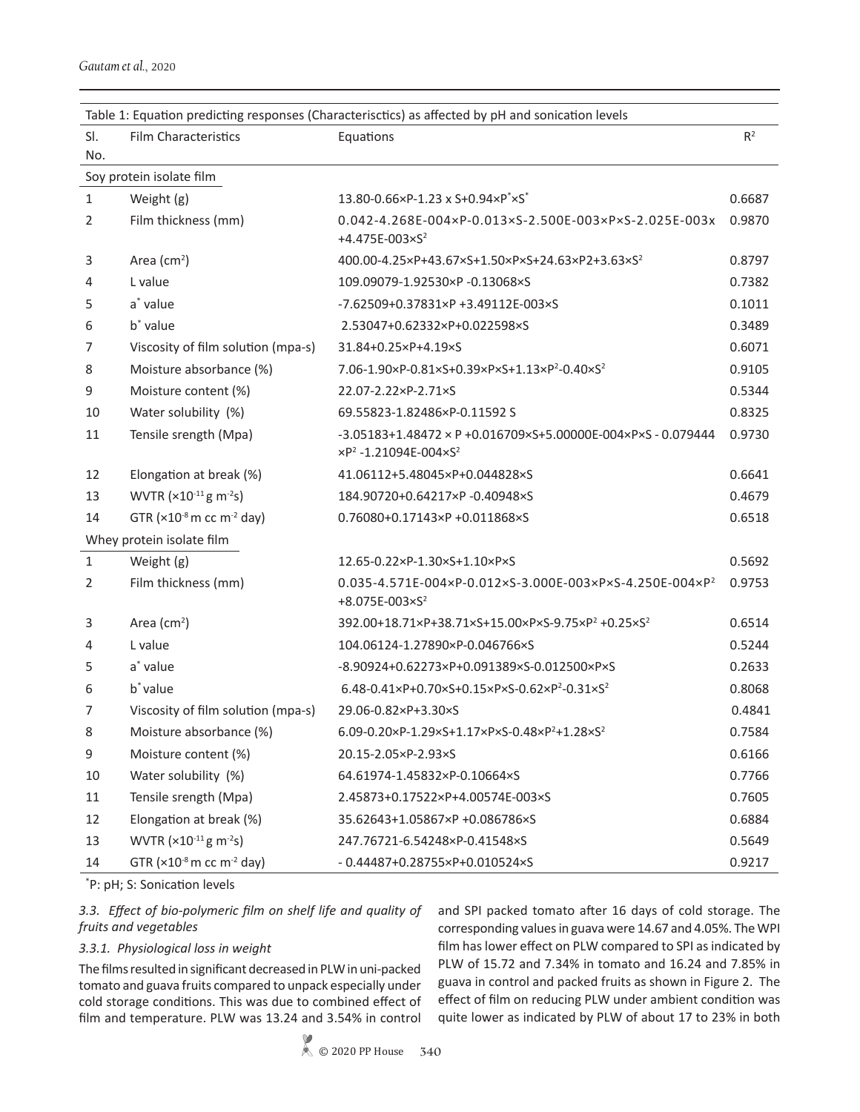\* P: pH; S: Sonication levels

## *3.3. Effect of bio-polymeric film on shelf life and quality of fruits and vegetables*

# *3.3.1. Physiological loss in weight*

The films resulted in significant decreased in PLW in uni-packed tomato and guava fruits compared to unpack especially under cold storage conditions. This was due to combined effect of film and temperature. PLW was 13.24 and 3.54% in control

and SPI packed tomato after 16 days of cold storage. The corresponding values in guava were 14.67 and 4.05%. The WPI film has lower effect on PLW compared to SPI as indicated by PLW of 15.72 and 7.34% in tomato and 16.24 and 7.85% in guava in control and packed fruits as shown in Figure 2. The effect of film on reducing PLW under ambient condition was quite lower as indicated by PLW of about 17 to 23% in both

|                | Soy protein isolate film               |                                                                                                                                                  |        |
|----------------|----------------------------------------|--------------------------------------------------------------------------------------------------------------------------------------------------|--------|
| 1              | Weight (g)                             | $13.80 - 0.66 \times P - 1.23 \times S + 0.94 \times P^* \times S^*$                                                                             | 0.6687 |
| 2              | Film thickness (mm)                    | $0.042 - 4.268E - 004 \times P - 0.013 \times S - 2.500E - 003 \times P \times S - 2.025E - 003 \times P$<br>+4.475E-003 $\times$ S <sup>2</sup> | 0.9870 |
| 3              | Area $(cm2)$                           | 400.00-4.25×P+43.67×S+1.50×P×S+24.63×P2+3.63×S <sup>2</sup>                                                                                      | 0.8797 |
| 4              | L value                                | 109.09079-1.92530×P-0.13068×S                                                                                                                    | 0.7382 |
| 5              | a* value                               | -7.62509+0.37831×P +3.49112E-003×S                                                                                                               | 0.1011 |
| 6              | b <sup>*</sup> value                   | 2.53047+0.62332×P+0.022598×S                                                                                                                     | 0.3489 |
| 7              | Viscosity of film solution (mpa-s)     | 31.84+0.25×P+4.19×S                                                                                                                              | 0.6071 |
| 8              | Moisture absorbance (%)                | 7.06-1.90×P-0.81×S+0.39×P×S+1.13×P <sup>2</sup> -0.40×S <sup>2</sup>                                                                             | 0.9105 |
| 9              | Moisture content (%)                   | 22.07-2.22×P-2.71×S                                                                                                                              | 0.5344 |
| 10             | Water solubility (%)                   | 69.55823-1.82486×P-0.11592 S                                                                                                                     | 0.8325 |
| 11             | Tensile srength (Mpa)                  | $-3.05183 + 1.48472 \times P + 0.016709 \times S + 5.00000E - 004 \times P \times S - 0.079444$<br>$\times P^2 - 1.21094E - 004 \times S^2$      | 0.9730 |
| 12             | Elongation at break (%)                | 41.06112+5.48045×P+0.044828×S                                                                                                                    | 0.6641 |
| 13             | WVTR (×10-11 g m-2s)                   | 184.90720+0.64217×P-0.40948×S                                                                                                                    | 0.4679 |
| 14             | GTR $(x10-8 m cc m-2 day)$             | 0.76080+0.17143×P +0.011868×S                                                                                                                    | 0.6518 |
|                | Whey protein isolate film              |                                                                                                                                                  |        |
| 1              | Weight (g)                             | 12.65-0.22×P-1.30×S+1.10×P×S                                                                                                                     | 0.5692 |
| $\overline{2}$ | Film thickness (mm)                    | $0.035 - 4.571E - 004 \times P - 0.012 \times S - 3.000E - 003 \times P \times S - 4.250E - 004 \times P^2$<br>$+8.075E - 003 \times S^2$        | 0.9753 |
| 3              | Area $(cm2)$                           | 392.00+18.71×P+38.71×S+15.00×P×S-9.75×P <sup>2</sup> +0.25×S <sup>2</sup>                                                                        | 0.6514 |
| 4              | L value                                | 104.06124-1.27890×P-0.046766×S                                                                                                                   | 0.5244 |
| 5              | a <sup>*</sup> value                   | -8.90924+0.62273×P+0.091389×S-0.012500×P×S                                                                                                       | 0.2633 |
| 6              | b <sup>*</sup> value                   | 6.48-0.41×P+0.70×S+0.15×P×S-0.62×P <sup>2</sup> -0.31×S <sup>2</sup>                                                                             | 0.8068 |
| 7              | Viscosity of film solution (mpa-s)     | 29.06-0.82×P+3.30×S                                                                                                                              | 0.4841 |
| 8              | Moisture absorbance (%)                | 6.09-0.20×P-1.29×S+1.17×P×S-0.48×P <sup>2</sup> +1.28×S <sup>2</sup>                                                                             | 0.7584 |
| 9              | Moisture content (%)                   | 20.15-2.05×P-2.93×S                                                                                                                              | 0.6166 |
| 10             | Water solubility (%)                   | 64.61974-1.45832×P-0.10664×S                                                                                                                     | 0.7766 |
| 11             | Tensile srength (Mpa)                  | 2.45873+0.17522×P+4.00574E-003×S                                                                                                                 | 0.7605 |
| 12             | Elongation at break (%)                | 35.62643+1.05867×P +0.086786×S                                                                                                                   | 0.6884 |
| 13             | WVTR $(x10^{-11}$ g m <sup>-2</sup> s) | 247.76721-6.54248×P-0.41548×S                                                                                                                    | 0.5649 |
| 14             | GTR $(x10-8 m cc m-2 day)$             | $-0.44487 + 0.28755 \times P + 0.010524 \times S$                                                                                                | 0.9217 |

Film Characteristics **Equations** Equations **R**<sup>2</sup>

Sl. No.

#### Table 1: Equation predicting responses (Characterisctics) as affected by pH and sonication levels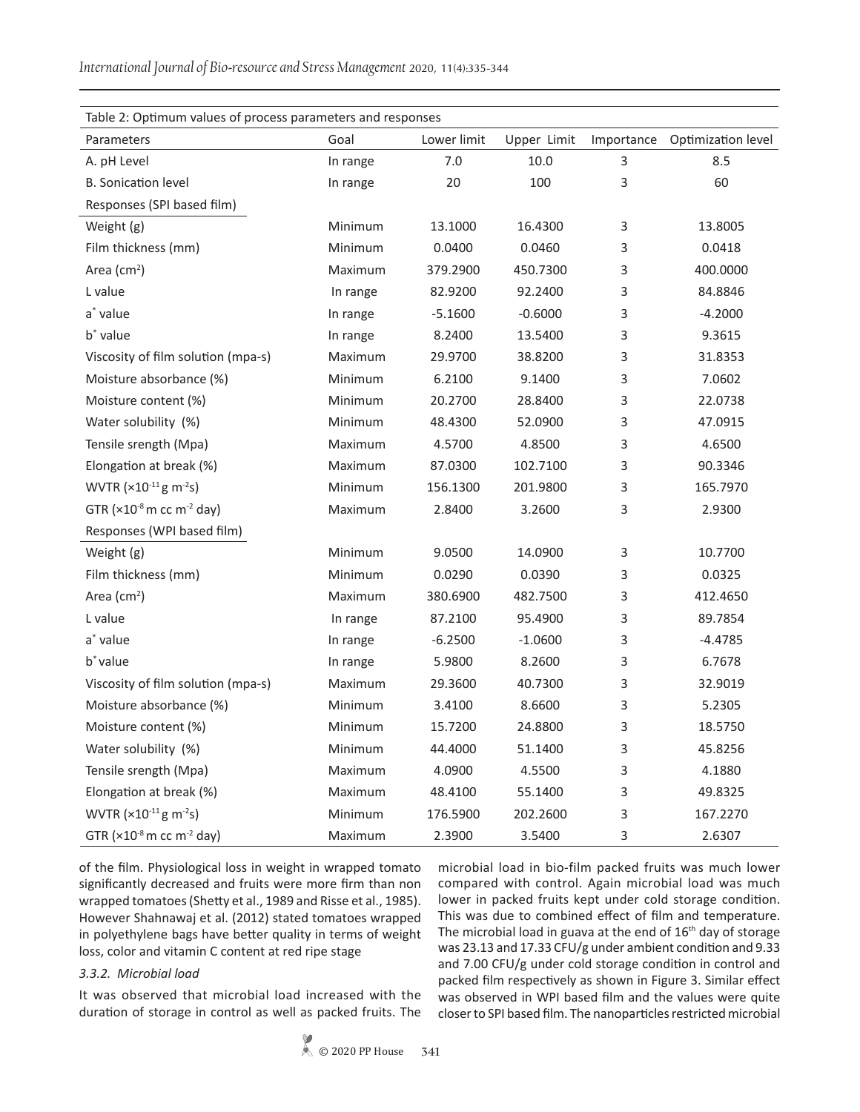| Table 2: Optimum values of process parameters and responses |          |             |             |   |                               |  |  |
|-------------------------------------------------------------|----------|-------------|-------------|---|-------------------------------|--|--|
| Parameters                                                  | Goal     | Lower limit | Upper Limit |   | Importance Optimization level |  |  |
| A. pH Level                                                 | In range | 7.0         | $10.0\,$    | 3 | 8.5                           |  |  |
| <b>B.</b> Sonication level                                  | In range | 20          | 100         | 3 | 60                            |  |  |
| Responses (SPI based film)                                  |          |             |             |   |                               |  |  |
| Weight (g)                                                  | Minimum  | 13.1000     | 16.4300     | 3 | 13.8005                       |  |  |
| Film thickness (mm)                                         | Minimum  | 0.0400      | 0.0460      | 3 | 0.0418                        |  |  |
| Area (cm <sup>2</sup> )                                     | Maximum  | 379.2900    | 450.7300    | 3 | 400.0000                      |  |  |
| L value                                                     | In range | 82.9200     | 92.2400     | 3 | 84.8846                       |  |  |
| a <sup>*</sup> value                                        | In range | $-5.1600$   | $-0.6000$   | 3 | $-4.2000$                     |  |  |
| b <sup>*</sup> value                                        | In range | 8.2400      | 13.5400     | 3 | 9.3615                        |  |  |
| Viscosity of film solution (mpa-s)                          | Maximum  | 29.9700     | 38.8200     | 3 | 31.8353                       |  |  |
| Moisture absorbance (%)                                     | Minimum  | 6.2100      | 9.1400      | 3 | 7.0602                        |  |  |
| Moisture content (%)                                        | Minimum  | 20.2700     | 28.8400     | 3 | 22.0738                       |  |  |
| Water solubility (%)                                        | Minimum  | 48.4300     | 52.0900     | 3 | 47.0915                       |  |  |
| Tensile srength (Mpa)                                       | Maximum  | 4.5700      | 4.8500      | 3 | 4.6500                        |  |  |
| Elongation at break (%)                                     | Maximum  | 87.0300     | 102.7100    | 3 | 90.3346                       |  |  |
| WVTR $(x10^{-11}$ g m <sup>-2</sup> s)                      | Minimum  | 156.1300    | 201.9800    | 3 | 165.7970                      |  |  |
| GTR $(x10-8 m cc m-2 day)$                                  | Maximum  | 2.8400      | 3.2600      | 3 | 2.9300                        |  |  |
| Responses (WPI based film)                                  |          |             |             |   |                               |  |  |
| Weight (g)                                                  | Minimum  | 9.0500      | 14.0900     | 3 | 10.7700                       |  |  |
| Film thickness (mm)                                         | Minimum  | 0.0290      | 0.0390      | 3 | 0.0325                        |  |  |
| Area $(cm2)$                                                | Maximum  | 380.6900    | 482.7500    | 3 | 412.4650                      |  |  |
| L value                                                     | In range | 87.2100     | 95.4900     | 3 | 89.7854                       |  |  |
| a* value                                                    | In range | $-6.2500$   | $-1.0600$   | 3 | $-4.4785$                     |  |  |
| b <sup>*</sup> value                                        | In range | 5.9800      | 8.2600      | 3 | 6.7678                        |  |  |
| Viscosity of film solution (mpa-s)                          | Maximum  | 29.3600     | 40.7300     | 3 | 32.9019                       |  |  |
| Moisture absorbance (%)                                     | Minimum  | 3.4100      | 8.6600      | 3 | 5.2305                        |  |  |
| Moisture content (%)                                        | Minimum  | 15.7200     | 24.8800     | 3 | 18.5750                       |  |  |
| Water solubility (%)                                        | Minimum  | 44.4000     | 51.1400     | 3 | 45.8256                       |  |  |
| Tensile srength (Mpa)                                       | Maximum  | 4.0900      | 4.5500      | 3 | 4.1880                        |  |  |
| Elongation at break (%)                                     | Maximum  | 48.4100     | 55.1400     | 3 | 49.8325                       |  |  |
| WVTR $(x10^{-11}$ g m <sup>-2</sup> s)                      | Minimum  | 176.5900    | 202.2600    | 3 | 167.2270                      |  |  |
| GTR ( $\times$ 10 <sup>-8</sup> m cc m <sup>-2</sup> day)   | Maximum  | 2.3900      | 3.5400      | 3 | 2.6307                        |  |  |

of the film. Physiological loss in weight in wrapped tomato significantly decreased and fruits were more firm than non wrapped tomatoes (Shetty et al., 1989 and Risse et al., 1985). However Shahnawaj et al. (2012) stated tomatoes wrapped in polyethylene bags have better quality in terms of weight loss, color and vitamin C content at red ripe stage

#### *3.3.2. Microbial load*

It was observed that microbial load increased with the duration of storage in control as well as packed fruits. The

microbial load in bio-film packed fruits was much lower compared with control. Again microbial load was much lower in packed fruits kept under cold storage condition. This was due to combined effect of film and temperature. The microbial load in guava at the end of 16<sup>th</sup> day of storage was 23.13 and 17.33 CFU/g under ambient condition and 9.33 and 7.00 CFU/g under cold storage condition in control and packed film respectively as shown in Figure 3. Similar effect was observed in WPI based film and the values were quite closer to SPI based film. The nanoparticles restricted microbial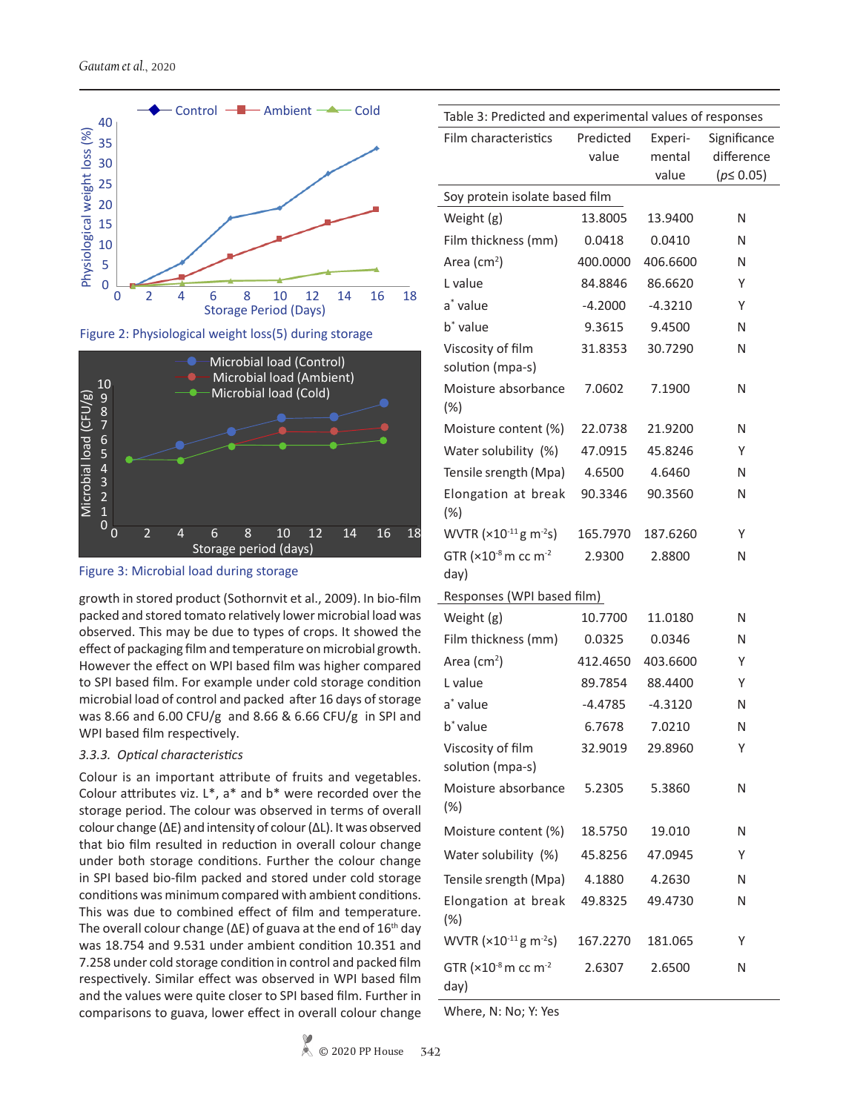

Figure 2: Physiological weight loss(5) during storage



Figure 3: Microbial load during storage

growth in stored product (Sothornvit et al., 2009). In bio-film packed and stored tomato relatively lower microbial load was observed. This may be due to types of crops. It showed the effect of packaging film and temperature on microbial growth. However the effect on WPI based film was higher compared to SPI based film. For example under cold storage condition microbial load of control and packed after 16 days of storage was 8.66 and 6.00 CFU/g and 8.66 & 6.66 CFU/g in SPI and WPI based film respectively.

#### *3.3.3. Optical characteristics*

Colour is an important attribute of fruits and vegetables. Colour attributes viz. L\*, a\* and b\* were recorded over the storage period. The colour was observed in terms of overall colour change (∆E) and intensity of colour (∆L). It was observed that bio film resulted in reduction in overall colour change under both storage conditions. Further the colour change in SPI based bio-film packed and stored under cold storage conditions was minimum compared with ambient conditions. This was due to combined effect of film and temperature. The overall colour change ( $\Delta$ E) of guava at the end of 16<sup>th</sup> day was 18.754 and 9.531 under ambient condition 10.351 and 7.258 under cold storage condition in control and packed film respectively. Similar effect was observed in WPI based film and the values were quite closer to SPI based film. Further in comparisons to guava, lower effect in overall colour change

| Table 3: Predicted and experimental values of responses      |           |           |                |  |  |  |  |  |  |  |
|--------------------------------------------------------------|-----------|-----------|----------------|--|--|--|--|--|--|--|
| Film characteristics                                         | Predicted | Experi-   | Significance   |  |  |  |  |  |  |  |
|                                                              | value     | mental    | difference     |  |  |  |  |  |  |  |
|                                                              |           | value     | $(p \le 0.05)$ |  |  |  |  |  |  |  |
| Soy protein isolate based film                               |           |           |                |  |  |  |  |  |  |  |
| Weight (g)                                                   | 13.8005   | 13.9400   | N              |  |  |  |  |  |  |  |
| Film thickness (mm)                                          | 0.0418    | 0.0410    | N              |  |  |  |  |  |  |  |
| Area $(cm2)$                                                 | 400.0000  | 406.6600  | N              |  |  |  |  |  |  |  |
| L value                                                      | 84.8846   | 86.6620   | Υ              |  |  |  |  |  |  |  |
| a* value                                                     | $-4.2000$ | $-4.3210$ | Y              |  |  |  |  |  |  |  |
| b <sup>*</sup> value                                         | 9.3615    | 9.4500    | N              |  |  |  |  |  |  |  |
| Viscosity of film                                            | 31.8353   | 30.7290   | N              |  |  |  |  |  |  |  |
| solution (mpa-s)                                             |           |           |                |  |  |  |  |  |  |  |
| Moisture absorbance<br>$(\%)$                                | 7.0602    | 7.1900    | N              |  |  |  |  |  |  |  |
| Moisture content (%)                                         | 22.0738   | 21.9200   | N              |  |  |  |  |  |  |  |
| Water solubility (%)                                         | 47.0915   | 45.8246   | Y              |  |  |  |  |  |  |  |
| Tensile srength (Mpa)                                        | 4.6500    | 4.6460    | N              |  |  |  |  |  |  |  |
| Elongation at break<br>$(\%)$                                | 90.3346   | 90.3560   | N              |  |  |  |  |  |  |  |
| WVTR $(x10^{-11}$ g m <sup>-2</sup> s)                       | 165.7970  | 187.6260  | Y              |  |  |  |  |  |  |  |
| GTR $(x10-8 m cc m-2$                                        | 2.9300    | 2.8800    | N              |  |  |  |  |  |  |  |
| day)                                                         |           |           |                |  |  |  |  |  |  |  |
| Responses (WPI based film)                                   |           |           |                |  |  |  |  |  |  |  |
| Weight (g)                                                   | 10.7700   | 11.0180   | N              |  |  |  |  |  |  |  |
| Film thickness (mm)                                          | 0.0325    | 0.0346    | N              |  |  |  |  |  |  |  |
| Area $(cm2)$                                                 | 412.4650  | 403.6600  | Y              |  |  |  |  |  |  |  |
| L value                                                      | 89.7854   | 88.4400   | Y              |  |  |  |  |  |  |  |
| a <sup>*</sup> value                                         | -4.4785   | $-4.3120$ | N              |  |  |  |  |  |  |  |
| b <sup>*</sup> value                                         | 6.7678    | 7.0210    | N              |  |  |  |  |  |  |  |
| Viscosity of film<br>solution (mpa-s)                        | 32.9019   | 29.8960   | Y              |  |  |  |  |  |  |  |
| Moisture absorbance<br>$(\%)$                                | 5.2305    | 5.3860    | N              |  |  |  |  |  |  |  |
| Moisture content (%)                                         | 18.5750   | 19.010    | N              |  |  |  |  |  |  |  |
| Water solubility (%)                                         | 45.8256   | 47.0945   | Y              |  |  |  |  |  |  |  |
| Tensile srength (Mpa)                                        | 4.1880    | 4.2630    | N              |  |  |  |  |  |  |  |
| Elongation at break<br>$(\%)$                                | 49.8325   | 49.4730   | N              |  |  |  |  |  |  |  |
| WVTR $(x10^{-11}$ g m <sup>-2</sup> s)                       | 167.2270  | 181.065   | Υ              |  |  |  |  |  |  |  |
| GTR $(x10^{-8} \text{ m } \text{cc } \text{m}^{-2})$<br>day) | 2.6307    | 2.6500    | N              |  |  |  |  |  |  |  |

Where, N: No; Y: Yes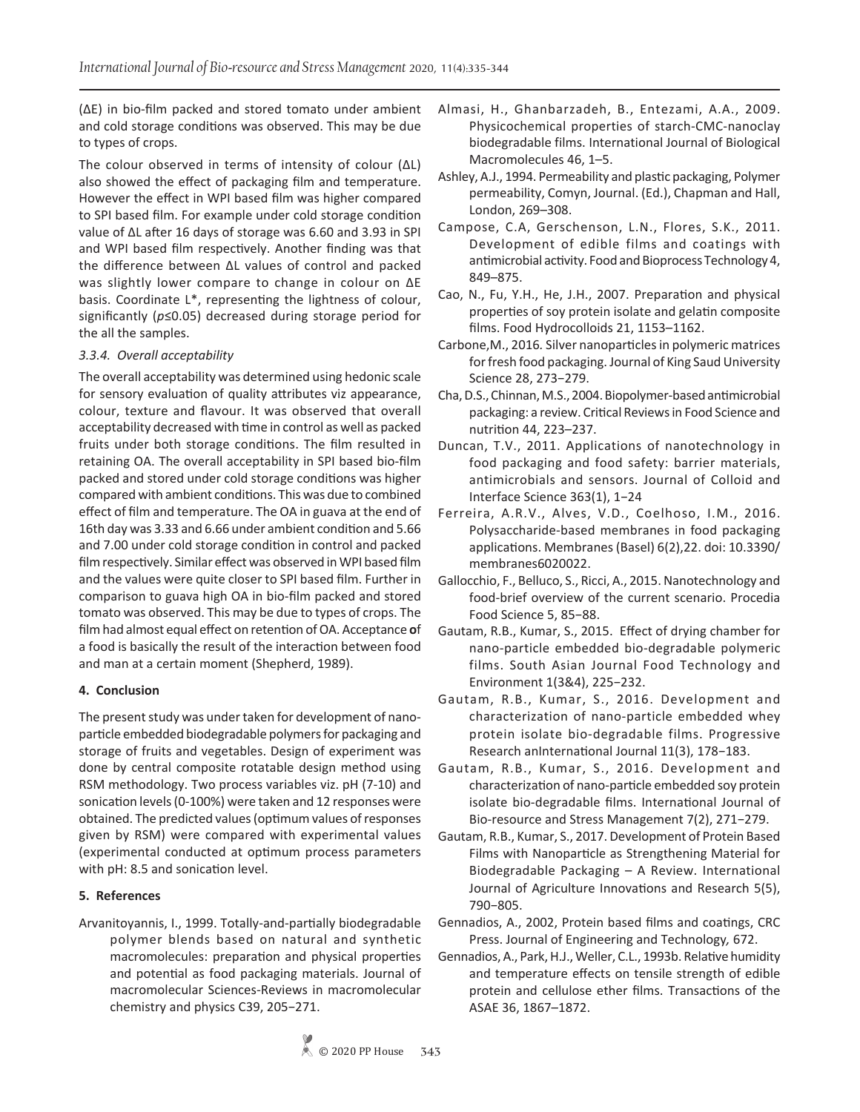(∆E) in bio-film packed and stored tomato under ambient and cold storage conditions was observed. This may be due to types of crops.

The colour observed in terms of intensity of colour (∆L) also showed the effect of packaging film and temperature. However the effect in WPI based film was higher compared to SPI based film. For example under cold storage condition value of ∆L after 16 days of storage was 6.60 and 3.93 in SPI and WPI based film respectively. Another finding was that the difference between ∆L values of control and packed was slightly lower compare to change in colour on ∆E basis. Coordinate L\*, representing the lightness of colour, significantly (*p*≤0.05) decreased during storage period for the all the samples.

## *3.3.4. Overall acceptability*

The overall acceptability was determined using hedonic scale for sensory evaluation of quality attributes viz appearance, colour, texture and flavour. It was observed that overall acceptability decreased with time in control as well as packed fruits under both storage conditions. The film resulted in retaining OA. The overall acceptability in SPI based bio-film packed and stored under cold storage conditions was higher compared with ambient conditions. This was due to combined effect of film and temperature. The OA in guava at the end of 16th day was 3.33 and 6.66 under ambient condition and 5.66 and 7.00 under cold storage condition in control and packed film respectively. Similar effect was observed in WPI based film and the values were quite closer to SPI based film. Further in comparison to guava high OA in bio-film packed and stored tomato was observed. This may be due to types of crops. The film had almost equal effect on retention of OA. Acceptance **o**f a food is basically the result of the interaction between food and man at a certain moment (Shepherd, 1989).

# **4. Conclusion**

The present study was under taken for development of nanoparticle embedded biodegradable polymers for packaging and storage of fruits and vegetables. Design of experiment was done by central composite rotatable design method using RSM methodology. Two process variables viz. pH (7-10) and sonication levels (0-100%) were taken and 12 responses were obtained. The predicted values (optimum values of responses given by RSM) were compared with experimental values (experimental conducted at optimum process parameters with pH: 8.5 and sonication level.

## **5. References**

Arvanitoyannis, I., 1999. Totally‐and‐partially biodegradable polymer blends based on natural and synthetic macromolecules: preparation and physical properties and potential as food packaging materials. Journal of macromolecular Sciences*-*Reviews in macromolecular chemistry and physics C39, 205−271.

- Almasi, H., Ghanbarzadeh, B., Entezami, A.A., 2009. Physicochemical properties of starch-CMC-nanoclay biodegradable films. International Journal of Biological Macromolecules 46, 1–5.
- Ashley, A.J., 1994. Permeability and plastic packaging, Polymer permeability, Comyn, Journal. (Ed.), Chapman and Hall, London, 269–308.
- Campose, C.A, Gerschenson, L.N., Flores, S.K., 2011. Development of edible films and coatings with antimicrobial activity. Food and Bioprocess Technology 4, 849–875.
- Cao, N., Fu, Y.H., He, J.H., 2007. Preparation and physical properties of soy protein isolate and gelatin composite films. Food Hydrocolloids 21, 1153–1162.
- Carbone,M., 2016*.* Silver nanoparticles in polymeric matrices for fresh food packaging. Journal of King Saud University Science 28, 273−279.
- Cha, D.S., Chinnan, M.S., 2004. Biopolymer-based antimicrobial packaging: a review. Critical Reviews in Food Science and nutrition 44, 223–237.
- Duncan, T.V., 2011. Applications of nanotechnology in food packaging and food safety: barrier materials, antimicrobials and sensors. Journal of Colloid and Interface Science 363(1), 1−24
- Ferreira, A.R.V., Alves, V.D., Coelhoso, I.M., 2016. Polysaccharide-based membranes in food packaging applications. Membranes (Basel) 6(2),22. doi: 10.3390/ membranes6020022.
- Gallocchio, F., Belluco, S., Ricci, A., 2015. Nanotechnology and food-brief overview of the current scenario. Procedia Food Science 5, 85−88.
- Gautam, R.B., Kumar, S., 2015. Effect of drying chamber for nano-particle embedded bio-degradable polymeric films. South Asian Journal Food Technology and Environment 1(3&4), 225−232.
- Gautam, R.B., Kumar, S., 2016. Development and characterization of nano-particle embedded whey protein isolate bio-degradable films. Progressive Research anInternational Journal 11(3), 178−183.
- Gautam, R.B., Kumar, S., 2016. Development and characterization of nano-particle embedded soy protein isolate bio-degradable films. International Journal of Bio-resource and Stress Management 7(2), 271−279.
- Gautam, R.B., Kumar, S., 2017. Development of Protein Based Films with Nanoparticle as Strengthening Material for Biodegradable Packaging – A Review. International Journal of Agriculture Innovations and Research 5(5), 790−805.
- Gennadios, A., 2002, Protein based films and coatings, CRC Press. Journal of Engineering and Technology*,* 672.
- Gennadios, A., Park, H.J., Weller, C.L., 1993b. Relative humidity and temperature effects on tensile strength of edible protein and cellulose ether films. Transactions of the ASAE 36, 1867–1872.